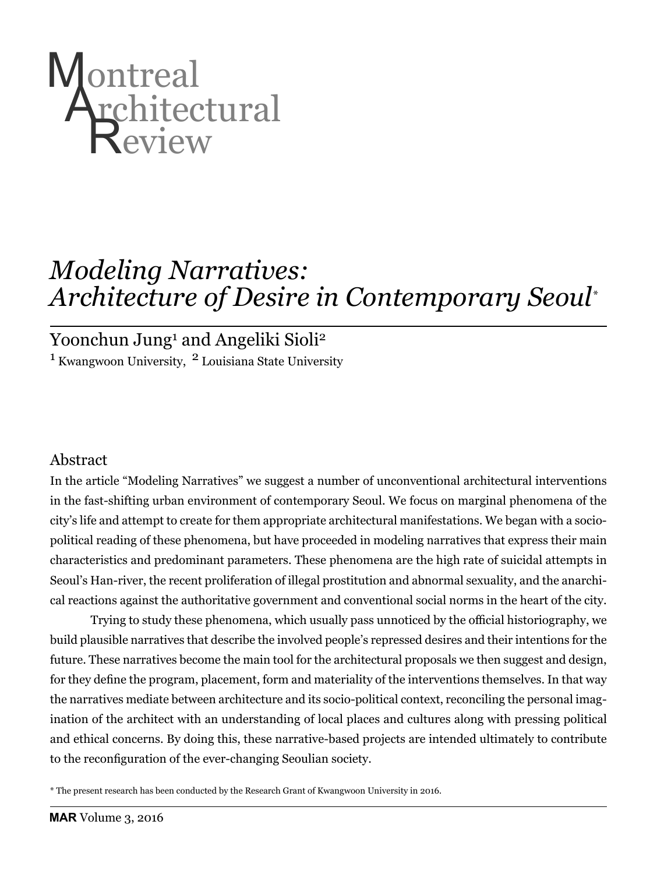

# *Modeling Narratives: Architecture of Desire in Contemporary Seoul\**

# Yoonchun Jung<sup>1</sup> and Angeliki Sioli<sup>2</sup>

 $1$  Kwangwoon University,  $2$  Louisiana State University

# Abstract

In the article "Modeling Narratives" we suggest a number of unconventional architectural interventions in the fast-shifting urban environment of contemporary Seoul. We focus on marginal phenomena of the city's life and attempt to create for them appropriate architectural manifestations. We began with a sociopolitical reading of these phenomena, but have proceeded in modeling narratives that express their main characteristics and predominant parameters. These phenomena are the high rate of suicidal attempts in Seoul's Han-river, the recent proliferation of illegal prostitution and abnormal sexuality, and the anarchical reactions against the authoritative government and conventional social norms in the heart of the city.

Trying to study these phenomena, which usually pass unnoticed by the official historiography, we build plausible narratives that describe the involved people's repressed desires and their intentions for the future. These narratives become the main tool for the architectural proposals we then suggest and design, for they define the program, placement, form and materiality of the interventions themselves. In that way the narratives mediate between architecture and its socio-political context, reconciling the personal imagination of the architect with an understanding of local places and cultures along with pressing political and ethical concerns. By doing this, these narrative-based projects are intended ultimately to contribute to the reconfiguration of the ever-changing Seoulian society.

\* The present research has been conducted by the Research Grant of Kwangwoon University in 2016.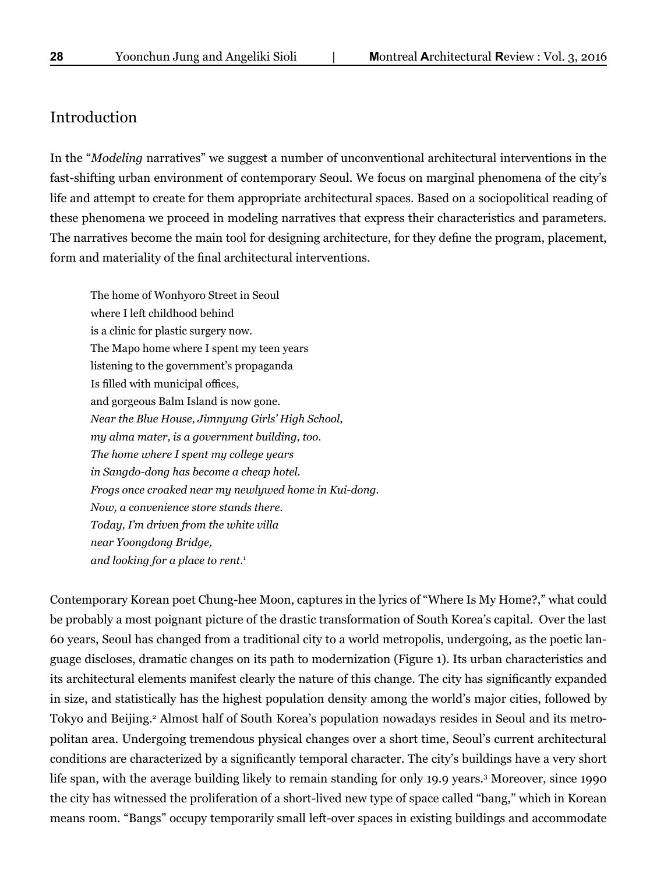## Introduction

In the "*Modeling* narratives" we suggest a number of unconventional architectural interventions in the fast-shifting urban environment of contemporary Seoul. We focus on marginal phenomena of the city's life and attempt to create for them appropriate architectural spaces. Based on a sociopolitical reading of these phenomena we proceed in modeling narratives that express their characteristics and parameters. The narratives become the main tool for designing architecture, for they define the program, placement, form and materiality of the final architectural interventions.

The home of Wonhyoro Street in Seoul where I left childhood behind is a clinic for plastic surgery now. The Mapo home where I spent my teen years listening to the government's propaganda Is filled with municipal offices, and gorgeous Balm Island is now gone. *Near the Blue House, Jimnyung Girls' High School, my alma mater, is a government building, too. The home where I spent my college years in Sangdo-dong has become a cheap hotel. Frogs once croaked near my newlywed home in Kui-dong. Now, a convenience store stands there. Today, I'm driven from the white villa near Yoongdong Bridge, and looking for a place to rent*. 1

Contemporary Korean poet Chung-hee Moon, captures in the lyrics of "Where Is My Home?," what could be probably a most poignant picture of the drastic transformation of South Korea's capital. Over the last 60 years, Seoul has changed from a traditional city to a world metropolis, undergoing, as the poetic language discloses, dramatic changes on its path to modernization (Figure 1). Its urban characteristics and its architectural elements manifest clearly the nature of this change. The city has significantly expanded in size, and statistically has the highest population density among the world's major cities, followed by Tokyo and Beijing.<sup>2</sup> Almost half of South Korea's population nowadays resides in Seoul and its metropolitan area. Undergoing tremendous physical changes over a short time, Seoul's current architectural conditions are characterized by a significantly temporal character. The city's buildings have a very short life span, with the average building likely to remain standing for only 19.9 years.3 Moreover, since 1990 the city has witnessed the proliferation of a short-lived new type of space called "bang," which in Korean means room. "Bangs" occupy temporarily small left-over spaces in existing buildings and accommodate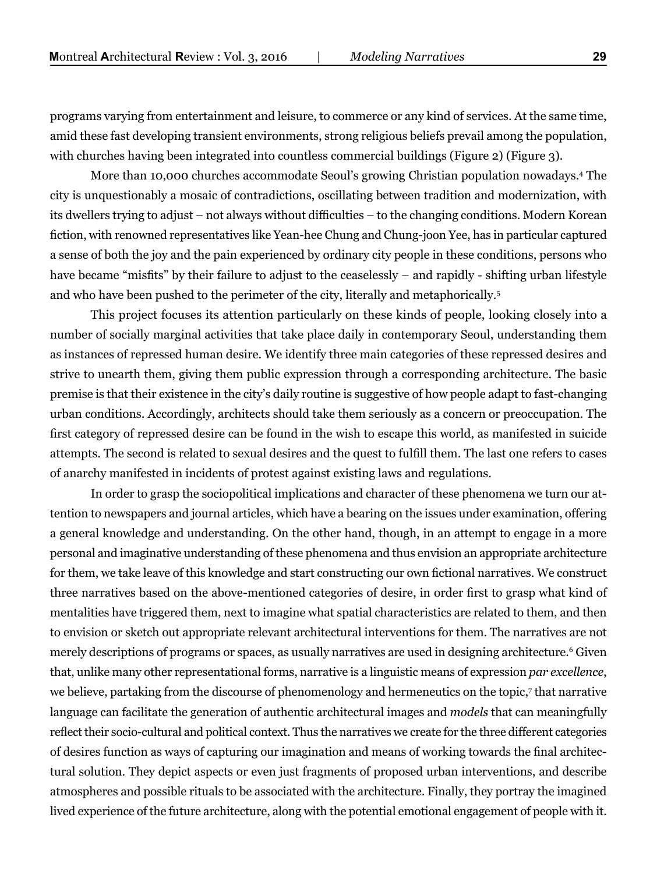programs varying from entertainment and leisure, to commerce or any kind of services. At the same time, amid these fast developing transient environments, strong religious beliefs prevail among the population, with churches having been integrated into countless commercial buildings (Figure 2) (Figure 3).

More than 10,000 churches accommodate Seoul's growing Christian population nowadays.4 The city is unquestionably a mosaic of contradictions, oscillating between tradition and modernization, with its dwellers trying to adjust – not always without difficulties – to the changing conditions. Modern Korean fiction, with renowned representatives like Yean-hee Chung and Chung-joon Yee, has in particular captured a sense of both the joy and the pain experienced by ordinary city people in these conditions, persons who have became "misfits" by their failure to adjust to the ceaselessly – and rapidly - shifting urban lifestyle and who have been pushed to the perimeter of the city, literally and metaphorically.5

This project focuses its attention particularly on these kinds of people, looking closely into a number of socially marginal activities that take place daily in contemporary Seoul, understanding them as instances of repressed human desire. We identify three main categories of these repressed desires and strive to unearth them, giving them public expression through a corresponding architecture. The basic premise is that their existence in the city's daily routine is suggestive of how people adapt to fast-changing urban conditions. Accordingly, architects should take them seriously as a concern or preoccupation. The first category of repressed desire can be found in the wish to escape this world, as manifested in suicide attempts. The second is related to sexual desires and the quest to fulfill them. The last one refers to cases of anarchy manifested in incidents of protest against existing laws and regulations.

In order to grasp the sociopolitical implications and character of these phenomena we turn our attention to newspapers and journal articles, which have a bearing on the issues under examination, offering a general knowledge and understanding. On the other hand, though, in an attempt to engage in a more personal and imaginative understanding of these phenomena and thus envision an appropriate architecture for them, we take leave of this knowledge and start constructing our own fictional narratives. We construct three narratives based on the above-mentioned categories of desire, in order first to grasp what kind of mentalities have triggered them, next to imagine what spatial characteristics are related to them, and then to envision or sketch out appropriate relevant architectural interventions for them. The narratives are not merely descriptions of programs or spaces, as usually narratives are used in designing architecture.<sup>6</sup> Given that, unlike many other representational forms, narrative is a linguistic means of expression *par excellence*, we believe, partaking from the discourse of phenomenology and hermeneutics on the topic,7 that narrative language can facilitate the generation of authentic architectural images and *models* that can meaningfully reflect their socio-cultural and political context. Thus the narratives we create for the three different categories of desires function as ways of capturing our imagination and means of working towards the final architectural solution. They depict aspects or even just fragments of proposed urban interventions, and describe atmospheres and possible rituals to be associated with the architecture. Finally, they portray the imagined lived experience of the future architecture, along with the potential emotional engagement of people with it.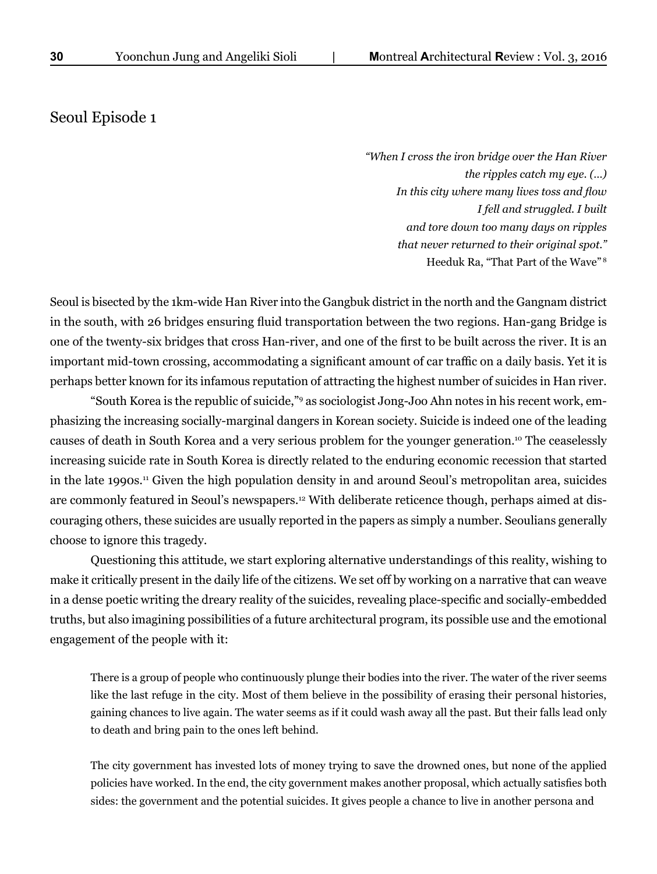## Seoul Episode 1

*"When I cross the iron bridge over the Han River the ripples catch my eye. (…) In this city where many lives toss and flow I fell and struggled. I built and tore down too many days on ripples that never returned to their original spot."* Heeduk Ra, "That Part of the Wave" 8

Seoul is bisected by the 1km-wide Han River into the Gangbuk district in the north and the Gangnam district in the south, with 26 bridges ensuring fluid transportation between the two regions. Han-gang Bridge is one of the twenty-six bridges that cross Han-river, and one of the first to be built across the river. It is an important mid-town crossing, accommodating a significant amount of car traffic on a daily basis. Yet it is perhaps better known for its infamous reputation of attracting the highest number of suicides in Han river.

"South Korea is the republic of suicide,"9 as sociologist Jong-Joo Ahn notes in his recent work, emphasizing the increasing socially-marginal dangers in Korean society. Suicide is indeed one of the leading causes of death in South Korea and a very serious problem for the younger generation.10 The ceaselessly increasing suicide rate in South Korea is directly related to the enduring economic recession that started in the late 1990s.11 Given the high population density in and around Seoul's metropolitan area, suicides are commonly featured in Seoul's newspapers.<sup>12</sup> With deliberate reticence though, perhaps aimed at discouraging others, these suicides are usually reported in the papers as simply a number. Seoulians generally choose to ignore this tragedy.

Questioning this attitude, we start exploring alternative understandings of this reality, wishing to make it critically present in the daily life of the citizens. We set off by working on a narrative that can weave in a dense poetic writing the dreary reality of the suicides, revealing place-specific and socially-embedded truths, but also imagining possibilities of a future architectural program, its possible use and the emotional engagement of the people with it:

There is a group of people who continuously plunge their bodies into the river. The water of the river seems like the last refuge in the city. Most of them believe in the possibility of erasing their personal histories, gaining chances to live again. The water seems as if it could wash away all the past. But their falls lead only to death and bring pain to the ones left behind.

The city government has invested lots of money trying to save the drowned ones, but none of the applied policies have worked. In the end, the city government makes another proposal, which actually satisfies both sides: the government and the potential suicides. It gives people a chance to live in another persona and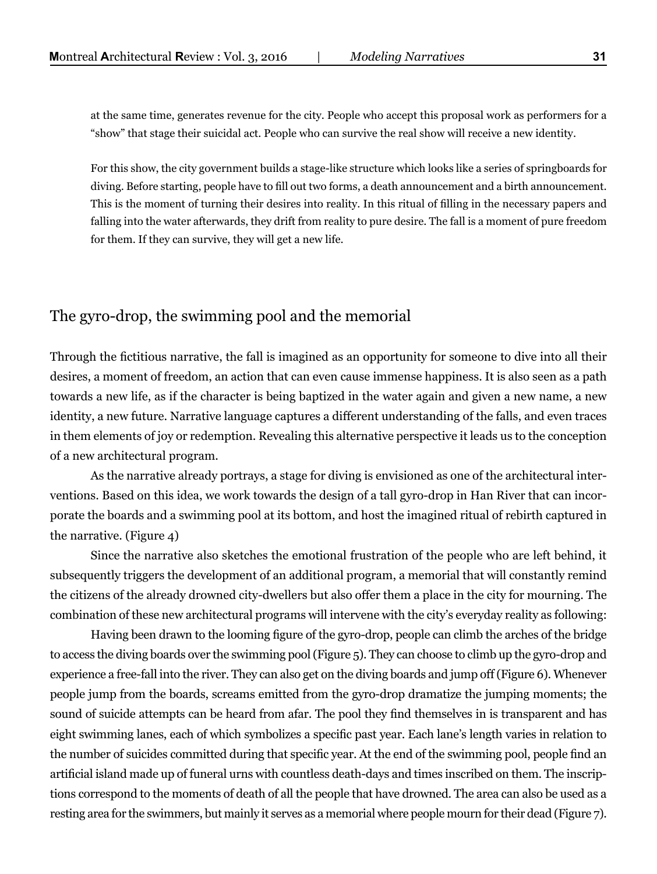at the same time, generates revenue for the city. People who accept this proposal work as performers for a "show" that stage their suicidal act. People who can survive the real show will receive a new identity.

For this show, the city government builds a stage-like structure which looks like a series of springboards for diving. Before starting, people have to fill out two forms, a death announcement and a birth announcement. This is the moment of turning their desires into reality. In this ritual of filling in the necessary papers and falling into the water afterwards, they drift from reality to pure desire. The fall is a moment of pure freedom for them. If they can survive, they will get a new life.

#### The gyro-drop, the swimming pool and the memorial

Through the fictitious narrative, the fall is imagined as an opportunity for someone to dive into all their desires, a moment of freedom, an action that can even cause immense happiness. It is also seen as a path towards a new life, as if the character is being baptized in the water again and given a new name, a new identity, a new future. Narrative language captures a different understanding of the falls, and even traces in them elements of joy or redemption. Revealing this alternative perspective it leads us to the conception of a new architectural program.

As the narrative already portrays, a stage for diving is envisioned as one of the architectural interventions. Based on this idea, we work towards the design of a tall gyro-drop in Han River that can incorporate the boards and a swimming pool at its bottom, and host the imagined ritual of rebirth captured in the narrative. (Figure 4)

Since the narrative also sketches the emotional frustration of the people who are left behind, it subsequently triggers the development of an additional program, a memorial that will constantly remind the citizens of the already drowned city-dwellers but also offer them a place in the city for mourning. The combination of these new architectural programs will intervene with the city's everyday reality as following:

Having been drawn to the looming figure of the gyro-drop, people can climb the arches of the bridge to access the diving boards over the swimming pool (Figure 5). They can choose to climb up the gyro-drop and experience a free-fall into the river. They can also get on the diving boards and jump off (Figure 6). Whenever people jump from the boards, screams emitted from the gyro-drop dramatize the jumping moments; the sound of suicide attempts can be heard from afar. The pool they find themselves in is transparent and has eight swimming lanes, each of which symbolizes a specific past year. Each lane's length varies in relation to the number of suicides committed during that specific year. At the end of the swimming pool, people find an artificial island made up of funeral urns with countless death-days and times inscribed on them. The inscriptions correspond to the moments of death of all the people that have drowned. The area can also be used as a resting area for the swimmers, but mainly it serves as a memorial where people mourn for their dead (Figure 7).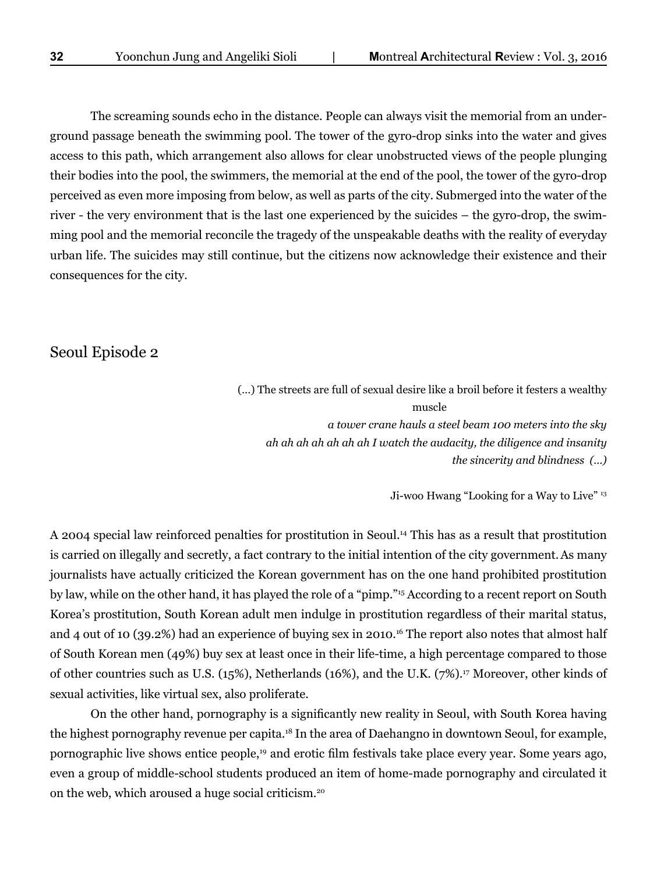The screaming sounds echo in the distance. People can always visit the memorial from an underground passage beneath the swimming pool. The tower of the gyro-drop sinks into the water and gives access to this path, which arrangement also allows for clear unobstructed views of the people plunging their bodies into the pool, the swimmers, the memorial at the end of the pool, the tower of the gyro-drop perceived as even more imposing from below, as well as parts of the city. Submerged into the water of the river - the very environment that is the last one experienced by the suicides – the gyro-drop, the swimming pool and the memorial reconcile the tragedy of the unspeakable deaths with the reality of everyday urban life. The suicides may still continue, but the citizens now acknowledge their existence and their consequences for the city.

#### Seoul Episode 2

(…) The streets are full of sexual desire like a broil before it festers a wealthy muscle and the muscle *a tower crane hauls a steel beam 100 meters into the sky ah ah ah ah ah ah ah I watch the audacity, the diligence and insanity the sincerity and blindness (…)*

Ji-woo Hwang "Looking for a Way to Live" 13

A 2004 special law reinforced penalties for prostitution in Seoul.14 This has as a result that prostitution is carried on illegally and secretly, a fact contrary to the initial intention of the city government.As many journalists have actually criticized the Korean government has on the one hand prohibited prostitution by law, while on the other hand, it has played the role of a "pimp."15 According to a recent report on South Korea's prostitution, South Korean adult men indulge in prostitution regardless of their marital status, and 4 out of 10 (39.2%) had an experience of buying sex in 2010.<sup>16</sup> The report also notes that almost half of South Korean men (49%) buy sex at least once in their life-time, a high percentage compared to those of other countries such as U.S. (15%), Netherlands (16%), and the U.K. (7%).17 Moreover, other kinds of sexual activities, like virtual sex, also proliferate.

On the other hand, pornography is a significantly new reality in Seoul, with South Korea having the highest pornography revenue per capita.18 In the area of Daehangno in downtown Seoul, for example, pornographic live shows entice people,19 and erotic film festivals take place every year. Some years ago, even a group of middle-school students produced an item of home-made pornography and circulated it on the web, which aroused a huge social criticism.20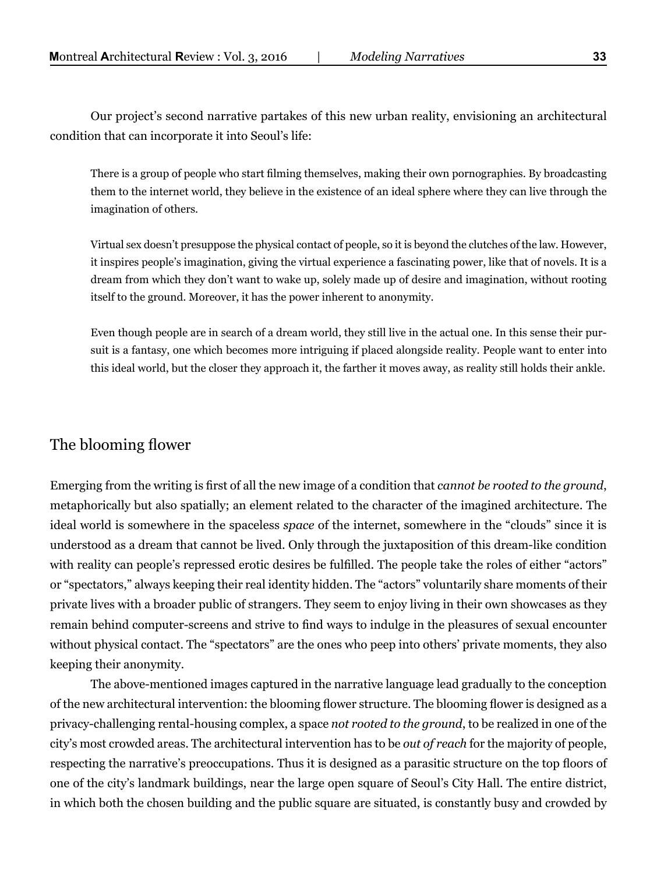Our project's second narrative partakes of this new urban reality, envisioning an architectural condition that can incorporate it into Seoul's life:

There is a group of people who start filming themselves, making their own pornographies. By broadcasting them to the internet world, they believe in the existence of an ideal sphere where they can live through the imagination of others.

Virtual sex doesn't presuppose the physical contact of people, so it is beyond the clutches of the law. However, it inspires people's imagination, giving the virtual experience a fascinating power, like that of novels. It is a dream from which they don't want to wake up, solely made up of desire and imagination, without rooting itself to the ground. Moreover, it has the power inherent to anonymity.

Even though people are in search of a dream world, they still live in the actual one. In this sense their pursuit is a fantasy, one which becomes more intriguing if placed alongside reality. People want to enter into this ideal world, but the closer they approach it, the farther it moves away, as reality still holds their ankle.

#### The blooming flower

Emerging from the writing is first of all the new image of a condition that *cannot be rooted to the ground*, metaphorically but also spatially; an element related to the character of the imagined architecture*.* The ideal world is somewhere in the spaceless *space* of the internet, somewhere in the "clouds" since it is understood as a dream that cannot be lived. Only through the juxtaposition of this dream-like condition with reality can people's repressed erotic desires be fulfilled. The people take the roles of either "actors" or "spectators," always keeping their real identity hidden. The "actors" voluntarily share moments of their private lives with a broader public of strangers. They seem to enjoy living in their own showcases as they remain behind computer-screens and strive to find ways to indulge in the pleasures of sexual encounter without physical contact. The "spectators" are the ones who peep into others' private moments, they also keeping their anonymity.

The above-mentioned images captured in the narrative language lead gradually to the conception of the new architectural intervention: the blooming flower structure. The blooming flower is designed as a privacy-challenging rental-housing complex, a space *not rooted to the ground*, to be realized in one of the city's most crowded areas. The architectural intervention has to be *out of reach* for the majority of people, respecting the narrative's preoccupations. Thus it is designed as a parasitic structure on the top floors of one of the city's landmark buildings, near the large open square of Seoul's City Hall. The entire district, in which both the chosen building and the public square are situated, is constantly busy and crowded by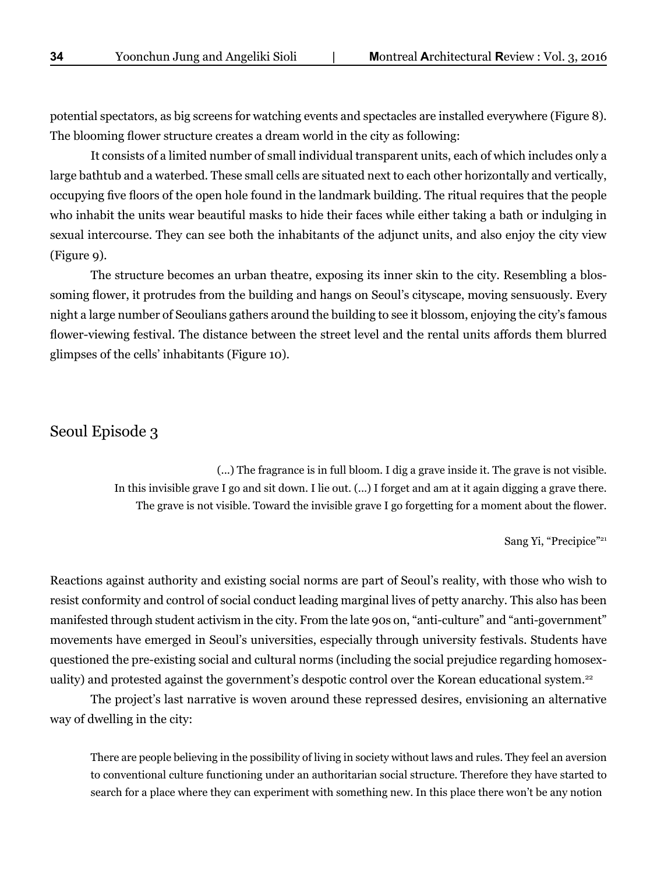potential spectators, as big screens for watching events and spectacles are installed everywhere (Figure 8). The blooming flower structure creates a dream world in the city as following:

It consists of a limited number of small individual transparent units, each of which includes only a large bathtub and a waterbed. These small cells are situated next to each other horizontally and vertically, occupying five floors of the open hole found in the landmark building. The ritual requires that the people who inhabit the units wear beautiful masks to hide their faces while either taking a bath or indulging in sexual intercourse. They can see both the inhabitants of the adjunct units, and also enjoy the city view (Figure 9).

The structure becomes an urban theatre, exposing its inner skin to the city. Resembling a blossoming flower, it protrudes from the building and hangs on Seoul's cityscape, moving sensuously. Every night a large number of Seoulians gathers around the building to see it blossom, enjoying the city's famous flower-viewing festival. The distance between the street level and the rental units affords them blurred glimpses of the cells' inhabitants (Figure 10).

#### Seoul Episode 3

(...) The fragrance is in full bloom. I dig a grave inside it. The grave is not visible. In this invisible grave I go and sit down. I lie out. (...) I forget and am at it again digging a grave there. The grave is not visible. Toward the invisible grave I go forgetting for a moment about the flower.

Sang Yi, "Precipice"<sup>21</sup>

Reactions against authority and existing social norms are part of Seoul's reality, with those who wish to resist conformity and control of social conduct leading marginal lives of petty anarchy. This also has been manifested through student activism in the city. From the late 90s on, "anti-culture" and "anti-government" movements have emerged in Seoul's universities, especially through university festivals. Students have questioned the pre-existing social and cultural norms (including the social prejudice regarding homosexuality) and protested against the government's despotic control over the Korean educational system.<sup>22</sup>

The project's last narrative is woven around these repressed desires, envisioning an alternative way of dwelling in the city:

There are people believing in the possibility of living in society without laws and rules. They feel an aversion to conventional culture functioning under an authoritarian social structure. Therefore they have started to search for a place where they can experiment with something new. In this place there won't be any notion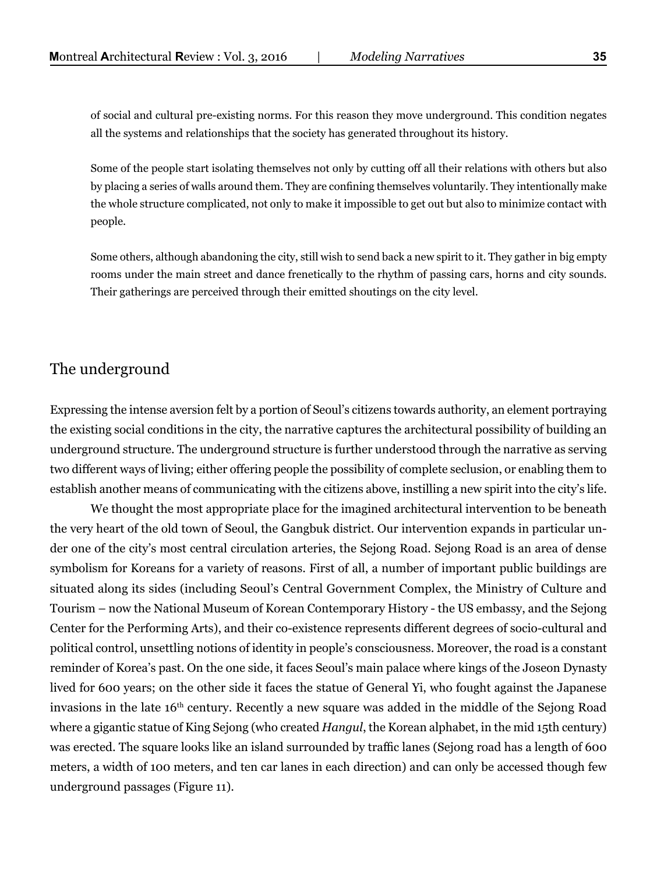of social and cultural pre-existing norms. For this reason they move underground. This condition negates all the systems and relationships that the society has generated throughout its history.

Some of the people start isolating themselves not only by cutting off all their relations with others but also by placing a series of walls around them. They are confining themselves voluntarily. They intentionally make the whole structure complicated, not only to make it impossible to get out but also to minimize contact with people.

Some others, although abandoning the city, still wish to send back a new spirit to it. They gather in big empty rooms under the main street and dance frenetically to the rhythm of passing cars, horns and city sounds. Their gatherings are perceived through their emitted shoutings on the city level.

## The underground

Expressing the intense aversion felt by a portion of Seoul's citizens towards authority, an element portraying the existing social conditions in the city, the narrative captures the architectural possibility of building an underground structure. The underground structure is further understood through the narrative as serving two different ways of living; either offering people the possibility of complete seclusion, or enabling them to establish another means of communicating with the citizens above, instilling a new spirit into the city's life.

We thought the most appropriate place for the imagined architectural intervention to be beneath the very heart of the old town of Seoul, the Gangbuk district. Our intervention expands in particular under one of the city's most central circulation arteries, the Sejong Road. Sejong Road is an area of dense symbolism for Koreans for a variety of reasons. First of all, a number of important public buildings are situated along its sides (including Seoul's Central Government Complex, the Ministry of Culture and Tourism – now the National Museum of Korean Contemporary History - the US embassy, and the Sejong Center for the Performing Arts), and their co-existence represents different degrees of socio-cultural and political control, unsettling notions of identity in people's consciousness. Moreover, the road is a constant reminder of Korea's past. On the one side, it faces Seoul's main palace where kings of the Joseon Dynasty lived for 600 years; on the other side it faces the statue of General Yi, who fought against the Japanese invasions in the late 16<sup>th</sup> century. Recently a new square was added in the middle of the Sejong Road where a gigantic statue of King Sejong (who created *Hangul*, the Korean alphabet, in the mid 15th century) was erected. The square looks like an island surrounded by traffic lanes (Sejong road has a length of 600 meters, a width of 100 meters, and ten car lanes in each direction) and can only be accessed though few underground passages (Figure 11).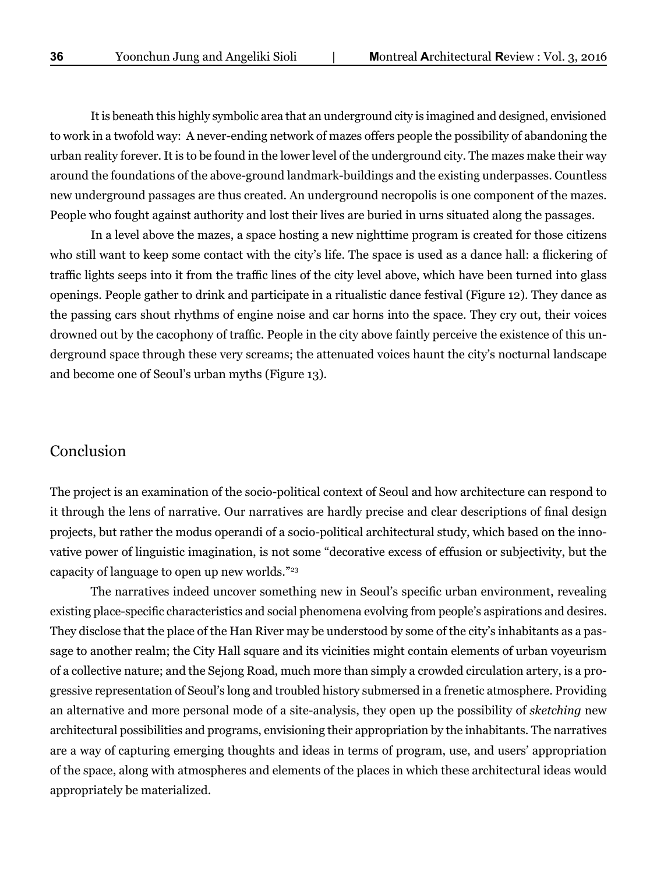It is beneath this highly symbolic area that an underground city is imagined and designed, envisioned to work in a twofold way: A never-ending network of mazes offers people the possibility of abandoning the urban reality forever. It is to be found in the lower level of the underground city. The mazes make their way around the foundations of the above-ground landmark-buildings and the existing underpasses. Countless new underground passages are thus created. An underground necropolis is one component of the mazes. People who fought against authority and lost their lives are buried in urns situated along the passages.

In a level above the mazes, a space hosting a new nighttime program is created for those citizens who still want to keep some contact with the city's life. The space is used as a dance hall: a flickering of traffic lights seeps into it from the traffic lines of the city level above, which have been turned into glass openings. People gather to drink and participate in a ritualistic dance festival (Figure 12). They dance as the passing cars shout rhythms of engine noise and car horns into the space. They cry out, their voices drowned out by the cacophony of traffic. People in the city above faintly perceive the existence of this underground space through these very screams; the attenuated voices haunt the city's nocturnal landscape and become one of Seoul's urban myths (Figure 13).

#### Conclusion

The project is an examination of the socio-political context of Seoul and how architecture can respond to it through the lens of narrative. Our narratives are hardly precise and clear descriptions of final design projects, but rather the modus operandi of a socio-political architectural study, which based on the innovative power of linguistic imagination, is not some "decorative excess of effusion or subjectivity, but the capacity of language to open up new worlds."23

The narratives indeed uncover something new in Seoul's specific urban environment, revealing existing place-specific characteristics and social phenomena evolving from people's aspirations and desires. They disclose that the place of the Han River may be understood by some of the city's inhabitants as a passage to another realm; the City Hall square and its vicinities might contain elements of urban voyeurism of a collective nature; and the Sejong Road, much more than simply a crowded circulation artery, is a progressive representation of Seoul's long and troubled history submersed in a frenetic atmosphere. Providing an alternative and more personal mode of a site-analysis, they open up the possibility of *sketching* new architectural possibilities and programs, envisioning their appropriation by the inhabitants. The narratives are a way of capturing emerging thoughts and ideas in terms of program, use, and users' appropriation of the space, along with atmospheres and elements of the places in which these architectural ideas would appropriately be materialized.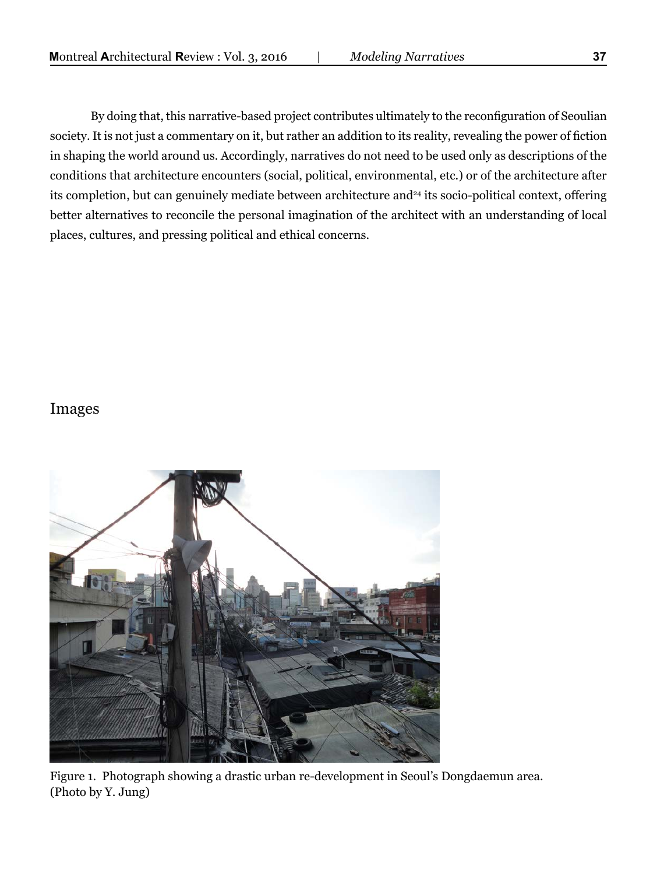By doing that, this narrative-based project contributes ultimately to the reconfiguration of Seoulian society. It is not just a commentary on it, but rather an addition to its reality, revealing the power of fiction in shaping the world around us. Accordingly, narratives do not need to be used only as descriptions of the conditions that architecture encounters (social, political, environmental, etc.) or of the architecture after its completion, but can genuinely mediate between architecture and<sup>24</sup> its socio-political context, offering better alternatives to reconcile the personal imagination of the architect with an understanding of local places, cultures, and pressing political and ethical concerns.

#### Images



Figure 1. Photograph showing a drastic urban re-development in Seoul's Dongdaemun area. (Photo by Y. Jung)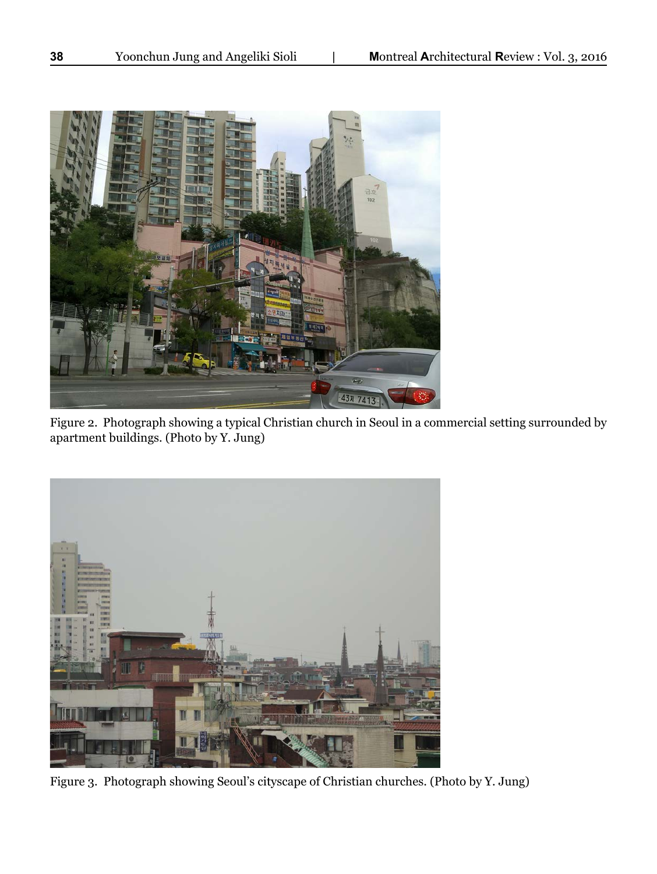

Figure 2. Photograph showing a typical Christian church in Seoul in a commercial setting surrounded by apartment buildings. (Photo by Y. Jung)



Figure 3. Photograph showing Seoul's cityscape of Christian churches. (Photo by Y. Jung)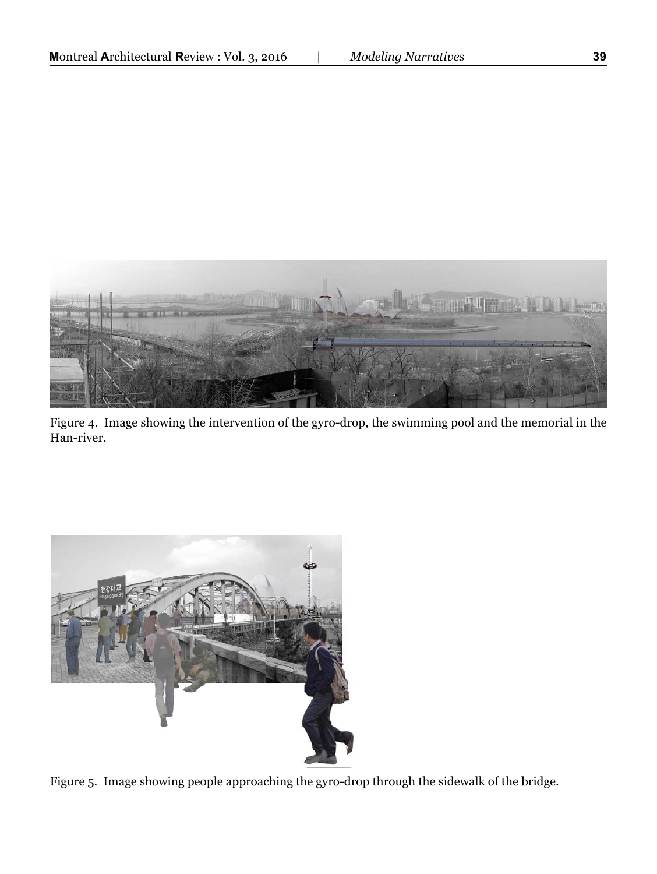

Figure 4. Image showing the intervention of the gyro-drop, the swimming pool and the memorial in the Han-river.



Figure 5. Image showing people approaching the gyro-drop through the sidewalk of the bridge.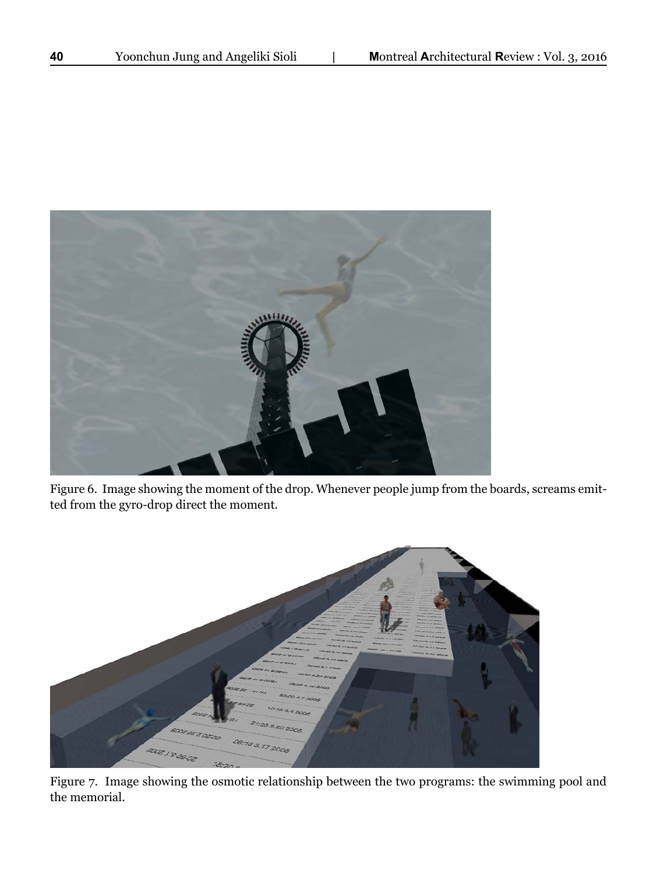

Figure 6. Image showing the moment of the drop. Whenever people jump from the boards, screams emitted from the gyro-drop direct the moment.



Figure 7. Image showing the osmotic relationship between the two programs: the swimming pool and the memorial.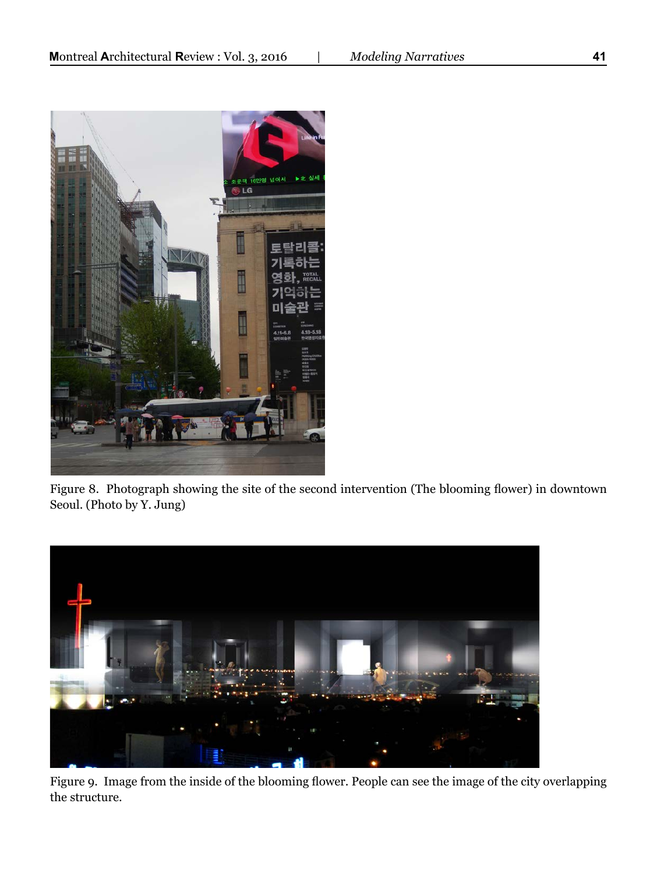

Figure 8. Photograph showing the site of the second intervention (The blooming flower) in downtown Seoul. (Photo by Y. Jung)



Figure 9. Image from the inside of the blooming flower. People can see the image of the city overlapping the structure.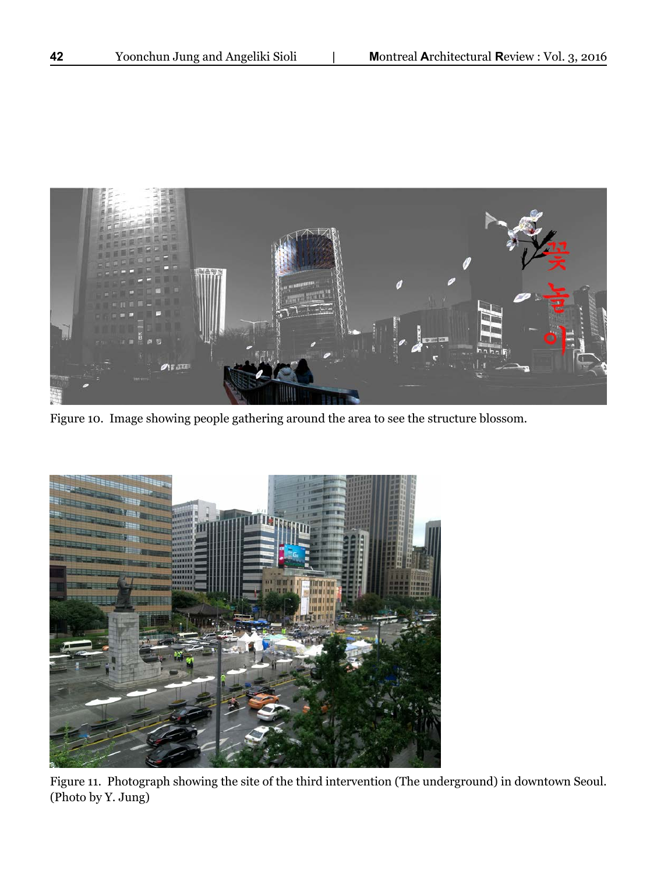

Figure 10. Image showing people gathering around the area to see the structure blossom.



Figure 11. Photograph showing the site of the third intervention (The underground) in downtown Seoul. (Photo by Y. Jung)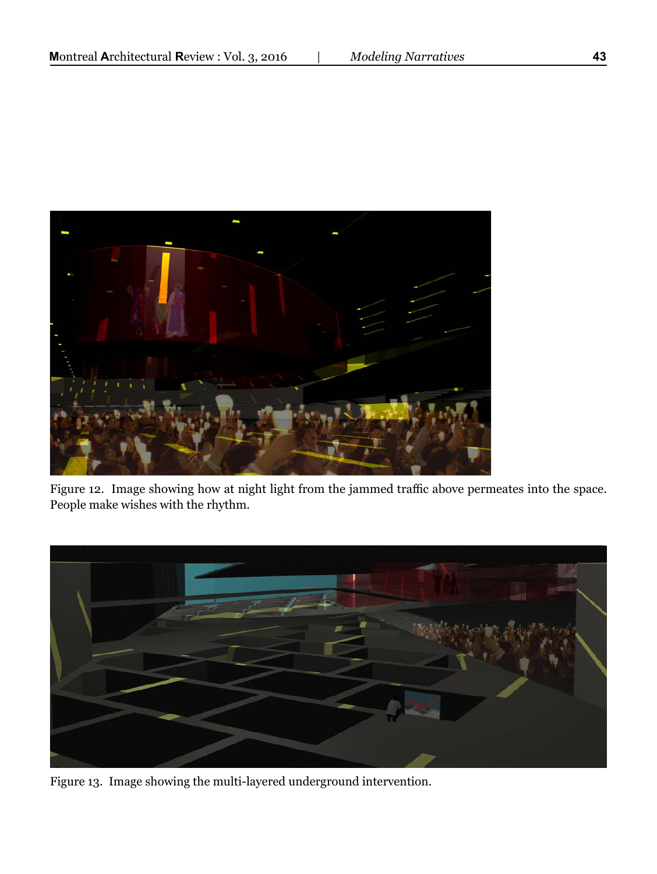

Figure 12. Image showing how at night light from the jammed traffic above permeates into the space. People make wishes with the rhythm.



Figure 13. Image showing the multi-layered underground intervention.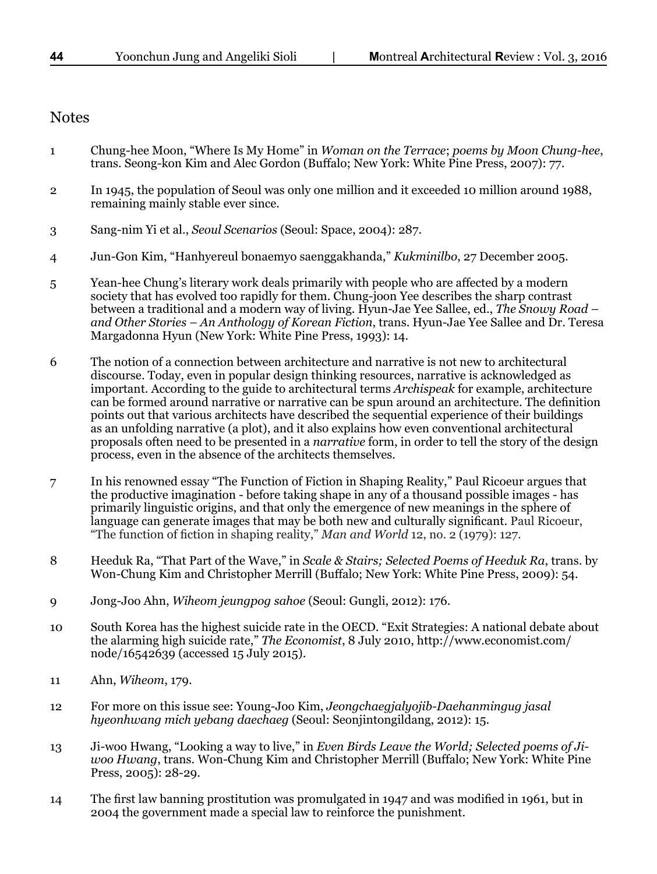#### **Notes**

- 1 Chung-hee Moon, "Where Is My Home" in *Woman on the Terrace*; *poems by Moon Chung-hee*, trans. Seong-kon Kim and Alec Gordon (Buffalo; New York: White Pine Press, 2007): 77.
- 2 In 1945, the population of Seoul was only one million and it exceeded 10 million around 1988, remaining mainly stable ever since.
- 3 Sang-nim Yi et al., *Seoul Scenarios* (Seoul: Space, 2004): 287.
- 4 Jun-Gon Kim, "Hanhyereul bonaemyo saenggakhanda," *Kukminilbo*, 27 December 2005.
- 5 Yean-hee Chung's literary work deals primarily with people who are affected by a modern society that has evolved too rapidly for them. Chung-joon Yee describes the sharp contrast between a traditional and a modern way of living. Hyun-Jae Yee Sallee, ed., *The Snowy Road – and Other Stories – An Anthology of Korean Fiction*, trans. Hyun-Jae Yee Sallee and Dr. Teresa Margadonna Hyun (New York: White Pine Press, 1993): 14.
- 6 The notion of a connection between architecture and narrative is not new to architectural discourse. Today, even in popular design thinking resources, narrative is acknowledged as important. According to the guide to architectural terms *Archispeak* for example, architecture can be formed around narrative or narrative can be spun around an architecture. The definition points out that various architects have described the sequential experience of their buildings as an unfolding narrative (a plot), and it also explains how even conventional architectural proposals often need to be presented in a *narrative* form, in order to tell the story of the design process, even in the absence of the architects themselves.
- 7 In his renowned essay "The Function of Fiction in Shaping Reality," Paul Ricoeur argues that the productive imagination - before taking shape in any of a thousand possible images - has primarily linguistic origins, and that only the emergence of new meanings in the sphere of language can generate images that may be both new and culturally significant. Paul Ricoeur, "The function of fiction in shaping reality," *Man and World* 12, no. 2 (1979): 127.
- 8 Heeduk Ra, "That Part of the Wave," in *Scale & Stairs; Selected Poems of Heeduk Ra*, trans. by Won-Chung Kim and Christopher Merrill (Buffalo; New York: White Pine Press, 2009): 54.
- 9 Jong-Joo Ahn, *Wiheom jeungpog sahoe* (Seoul: Gungli, 2012): 176.
- 10 South Korea has the highest suicide rate in the OECD. "Exit Strategies: A national debate about the alarming high suicide rate," *The Economist*, 8 July 2010, http://www.economist.com/ node/16542639 (accessed 15 July 2015).
- 11 Ahn, *Wiheom*, 179.
- 12 For more on this issue see: Young-Joo Kim, *Jeongchaegjalyojib-Daehanmingug jasal hyeonhwang mich yebang daechaeg* (Seoul: Seonjintongildang, 2012): 15.
- 13 Ji-woo Hwang, "Looking a way to live," in *Even Birds Leave the World; Selected poems of Jiwoo Hwang*, trans. Won-Chung Kim and Christopher Merrill (Buffalo; New York: White Pine Press, 2005): 28-29.
- 14 The first law banning prostitution was promulgated in 1947 and was modified in 1961, but in 2004 the government made a special law to reinforce the punishment.